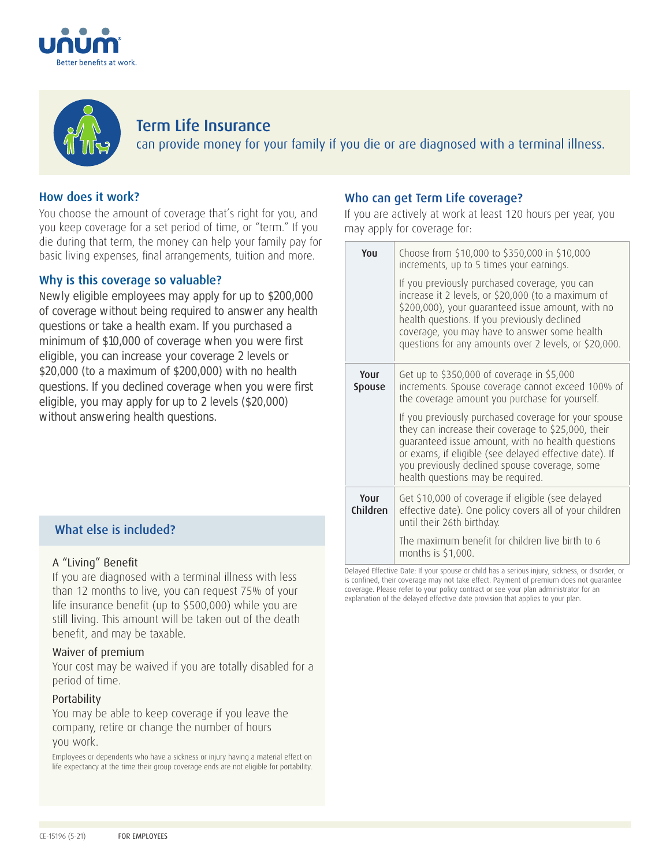



# Term Life Insurance can provide money for your family if you die or are diagnosed with a terminal illness.

# How does it work?

You choose the amount of coverage that's right for you, and you keep coverage for a set period of time, or "term." If you die during that term, the money can help your family pay for basic living expenses, final arrangements, tuition and more.

### Why is this coverage so valuable?

Newly eligible employees may apply for up to \$200,000 of coverage without being required to answer any health questions or take a health exam. If you purchased a minimum of \$10,000 of coverage when you were first eligible, you can increase your coverage 2 levels or \$20,000 (to a maximum of \$200,000) with no health questions. If you declined coverage when you were first eligible, you may apply for up to 2 levels (\$20,000) without answering health questions.

# What else is included?

### A "Living" Benefit

If you are diagnosed with a terminal illness with less than 12 months to live, you can request 75% of your life insurance benefit (up to \$500,000) while you are still living. This amount will be taken out of the death benefit, and may be taxable.

### Waiver of premium

Your cost may be waived if you are totally disabled for a period of time.

### Portability

You may be able to keep coverage if you leave the company, retire or change the number of hours you work.

Employees or dependents who have a sickness or injury having a material effect on life expectancy at the time their group coverage ends are not eligible for portability.

## Who can get Term Life coverage?

If you are actively at work at least 120 hours per year, you may apply for coverage for:

| You              | Choose from \$10,000 to \$350,000 in \$10,000<br>increments, up to 5 times your earnings.                                                                                                                                                                                                                         |
|------------------|-------------------------------------------------------------------------------------------------------------------------------------------------------------------------------------------------------------------------------------------------------------------------------------------------------------------|
|                  | If you previously purchased coverage, you can<br>increase it 2 levels, or \$20,000 (to a maximum of<br>\$200,000), your quaranteed issue amount, with no<br>health questions. If you previously declined<br>coverage, you may have to answer some health<br>questions for any amounts over 2 levels, or \$20,000. |
| Your<br>Spouse   | Get up to \$350,000 of coverage in \$5,000<br>increments. Spouse coverage cannot exceed 100% of<br>the coverage amount you purchase for yourself.                                                                                                                                                                 |
|                  | If you previously purchased coverage for your spouse<br>they can increase their coverage to \$25,000, their<br>quaranteed issue amount, with no health questions<br>or exams, if eligible (see delayed effective date). If<br>you previously declined spouse coverage, some<br>health questions may be required.  |
| Your<br>Children | Get \$10,000 of coverage if eligible (see delayed<br>effective date). One policy covers all of your children<br>until their 26th birthday.                                                                                                                                                                        |
|                  | The maximum benefit for children live birth to 6<br>months is $$1,000$ .                                                                                                                                                                                                                                          |

Delayed Effective Date: If your spouse or child has a serious injury, sickness, or disorder, or is confined, their coverage may not take effect. Payment of premium does not guarantee coverage. Please refer to your policy contract or see your plan administrator for an explanation of the delayed effective date provision that applies to your plan.